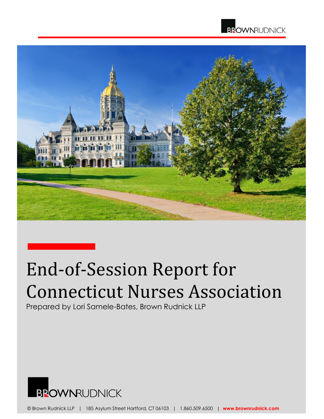



# End-of-Session Report for Connecticut Nurses Association

Prepared by Lori Samele-Bates, Brown Rudnick LLP

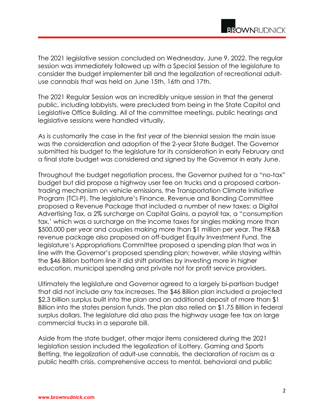The 2021 legislative session concluded on Wednesday, June 9, 2022. The regular session was immediately followed up with a Special Session of the legislature to consider the budget implementer bill and the legalization of recreational adultuse cannabis that was held on June 15th, 16th and 17th.

The 2021 Regular Session was an incredibly unique session in that the general public, including lobbyists, were precluded from being in the State Capitol and Legislative Office Building. All of the committee meetings, public hearings and legislative sessions were handled virtually.

As is customarily the case in the first year of the biennial session the main issue was the consideration and adoption of the 2-year State Budget. The Governor submitted his budget to the legislature for its consideration in early February and a final state budget was considered and signed by the Governor in early June.

Throughout the budget negotiation process, the Governor pushed for a "no-tax" budget but did propose a highway user fee on trucks and a proposed carbontrading mechanism on vehicle emissions, the Transportation Climate Initiative Program (TCI-P). The legislature's Finance, Revenue and Bonding Committee proposed a Revenue Package that included a number of new taxes: a Digital Advertising Tax, a 2% surcharge on Capital Gains, a payroll tax, a "consumption tax,' which was a surcharge on the income taxes for singles making more than \$500,000 per year and couples making more than \$1 million per year. The FR&B revenue package also proposed on off-budget Equity Investment Fund. The legislature's Appropriations Committee proposed a spending plan that was in line with the Governor's proposed spending plan; however, while staying within the \$46 Billion bottom line it did shift priorities by investing more in higher education, municipal spending and private not for profit service providers.

Ultimately the legislature and Governor agreed to a largely bi-partisan budget that did not include any tax increases. The \$46 Billion plan included a projected \$2.3 billion surplus built into the plan and an additional deposit of more than \$1 Billion into the states pension funds. The plan also relied on \$1.75 Billion in federal surplus dollars. The legislature did also pass the highway usage fee tax on large commercial trucks in a separate bill.

Aside from the state budget, other major items considered during the 2021 legislation session included the legalization of iLottery, Gaming and Sports Betting, the legalization of adult-use cannabis, the declaration of racism as a public health crisis, comprehensive access to mental, behavioral and public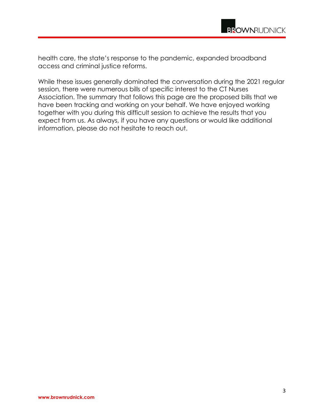

health care, the state's response to the pandemic, expanded broadband access and criminal justice reforms.

While these issues generally dominated the conversation during the 2021 regular session, there were numerous bills of specific interest to the CT Nurses Association. The summary that follows this page are the proposed bills that we have been tracking and working on your behalf. We have enjoyed working together with you during this difficult session to achieve the results that you expect from us. As always, if you have any questions or would like additional information, please do not hesitate to reach out.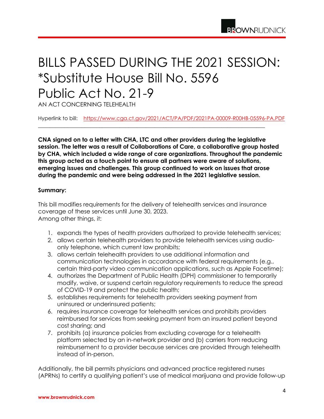### BILLS PASSED DURING THE 2021 SESSION: \*Substitute House Bill No. 5596 Public Act No. 21-9

AN ACT CONCERNING TELEHEALTH

Hyperlink to bill: <https://www.cga.ct.gov/2021/ACT/PA/PDF/2021PA-00009-R00HB-05596-PA.PDF>

\_\_\_\_\_\_\_\_\_\_\_\_\_\_\_\_\_\_\_\_\_\_\_\_\_\_\_\_\_\_\_\_\_\_\_\_\_\_\_\_\_\_\_\_\_\_\_\_\_\_\_\_\_\_\_\_\_\_\_\_\_\_\_\_\_\_\_\_\_\_\_\_\_\_\_\_\_\_

**CNA signed on to a letter with CHA, LTC and other providers during the legislative session. The letter was a result of Collaborations of Care, a collaborative group hosted by CHA, which included a wide range of care organizations. Throughout the pandemic this group acted as a touch point to ensure all partners were aware of solutions, emerging issues and challenges. This group continued to work on issues that arose during the pandemic and were being addressed in the 2021 legislative session.** 

#### **Summary:**

This bill modifies requirements for the delivery of telehealth services and insurance coverage of these services until June 30, 2023. Among other things, it:

- 1. expands the types of health providers authorized to provide telehealth services;
- 2. allows certain telehealth providers to provide telehealth services using audioonly telephone, which current law prohibits;
- 3. allows certain telehealth providers to use additional information and communication technologies in accordance with federal requirements (e.g., certain third-party video communication applications, such as Apple Facetime);
- 4. authorizes the Department of Public Health (DPH) commissioner to temporarily modify, waive, or suspend certain regulatory requirements to reduce the spread of COVID-19 and protect the public health;
- 5. establishes requirements for telehealth providers seeking payment from uninsured or underinsured patients;
- 6. requires insurance coverage for telehealth services and prohibits providers reimbursed for services from seeking payment from an insured patient beyond cost sharing; and
- 7. prohibits (a) insurance policies from excluding coverage for a telehealth platform selected by an in-network provider and (b) carriers from reducing reimbursement to a provider because services are provided through telehealth instead of in-person.

Additionally, the bill permits physicians and advanced practice registered nurses (APRNs) to certify a qualifying patient's use of medical marijuana and provide follow-up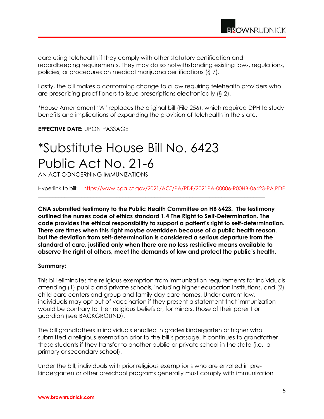

care using telehealth if they comply with other statutory certification and recordkeeping requirements. They may do so notwithstanding existing laws, regulations, policies, or procedures on medical marijuana certifications (§ 7).

Lastly, the bill makes a conforming change to a law requiring telehealth providers who are prescribing practitioners to issue prescriptions electronically (§ 2).

\*House Amendment "A" replaces the original bill (File 256), which required DPH to study benefits and implications of expanding the provision of telehealth in the state.

#### **EFFECTIVE DATE:** UPON PASSAGE

### \*Substitute House Bill No. 6423 Public Act No. 21-6

AN ACT CONCERNING IMMUNIZATIONS

Hyperlink to bill: <https://www.cga.ct.gov/2021/ACT/PA/PDF/2021PA-00006-R00HB-06423-PA.PDF>

\_\_\_\_\_\_\_\_\_\_\_\_\_\_\_\_\_\_\_\_\_\_\_\_\_\_\_\_\_\_\_\_\_\_\_\_\_\_\_\_\_\_\_\_\_\_\_\_\_\_\_\_\_\_\_\_\_\_\_\_\_\_\_\_\_\_\_\_\_\_\_\_\_\_\_\_\_\_

**CNA submitted testimony to the Public Health Committee on HB 6423. The testimony outlined the nurses code of ethics standard 1.4 The Right to Self-Determination. The code provides the ethical responsibility to support a patient's right to self-determination. There are times when this right maybe overridden because of a public health reason, but the deviation from self-determination is considered a serious departure from the standard of care, justified only when there are no less restrictive means available to observe the right of others, meet the demands of law and protect the public's health.** 

#### **Summary:**

This bill eliminates the religious exemption from immunization requirements for individuals attending (1) public and private schools, including higher education institutions, and (2) child care centers and group and family day care homes. Under current law, individuals may opt out of vaccination if they present a statement that immunization would be contrary to their religious beliefs or, for minors, those of their parent or guardian (see BACKGROUND).

The bill grandfathers in individuals enrolled in grades kindergarten or higher who submitted a religious exemption prior to the bill's passage. It continues to grandfather these students if they transfer to another public or private school in the state (i.e., a primary or secondary school).

Under the bill, individuals with prior religious exemptions who are enrolled in prekindergarten or other preschool programs generally must comply with immunization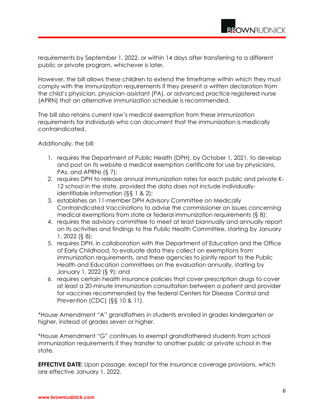requirements by September 1, 2022, or within 14 days after transferring to a different public or private program, whichever is later.

However, the bill allows these children to extend the timeframe within which they must comply with the immunization requirements if they present a written declaration from the child's physician, physician assistant (PA), or advanced practice registered nurse (APRN) that an alternative immunization schedule is recommended.

The bill also retains current law's medical exemption from these immunization requirements for individuals who can document that the immunization is medically contraindicated.

Additionally, the bill:

- 1. requires the Department of Public Health (DPH), by October 1, 2021, to develop and post on its website a medical exemption certificate for use by physicians, PAs, and APRNs (§ 7);
- 2. requires DPH to release annual immunization rates for each public and private K-12 school in the state, provided the data does not include individuallyidentifiable information (§§ 1 & 2);
- 3. establishes an 11-member DPH Advisory Committee on Medically Contraindicated Vaccinations to advise the commissioner on issues concerning medical exemptions from state or federal immunization requirements (§ 8);
- 4. requires the advisory committee to meet at least biannually and annually report on its activities and findings to the Public Health Committee, starting by January 1, 2022 (§ 8);
- 5. requires DPH, in collaboration with the Department of Education and the Office of Early Childhood, to evaluate data they collect on exemptions from immunization requirements, and these agencies to jointly report to the Public Health and Education committees on the evaluation annually, starting by January 1, 2022 (§ 9); and
- 6. requires certain health insurance policies that cover prescription drugs to cover at least a 20-minute immunization consultation between a patient and provider for vaccines recommended by the federal Centers for Disease Control and Prevention (CDC) (§§ 10 & 11).

\*House Amendment "A" grandfathers in students enrolled in grades kindergarten or higher, instead of grades seven or higher.

\*House Amendment "G" continues to exempt grandfathered students from school immunization requirements if they transfer to another public or private school in the state.

**EFFECTIVE DATE:** Upon passage, except for the insurance coverage provisions, which are effective January 1, 2022.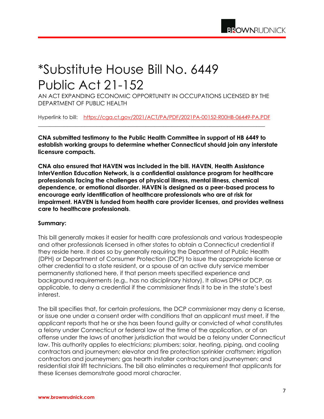### \*Substitute House Bill No. 6449 Public Act 21-152

AN ACT EXPANDING ECONOMIC OPPORTUNITY IN OCCUPATIONS LICENSED BY THE DEPARTMENT OF PUBLIC HEALTH

Hyperlink to bill: <https://cga.ct.gov/2021/ACT/PA/PDF/2021PA-00152-R00HB-06449-PA.PDF> \_\_\_\_\_\_\_\_\_\_\_\_\_\_\_\_\_\_\_\_\_\_\_\_\_\_\_\_\_\_\_\_\_\_\_\_\_\_\_\_\_\_\_\_\_\_\_\_\_\_\_\_\_\_\_\_\_\_\_\_\_\_\_\_\_\_\_\_\_\_\_\_\_\_\_\_\_\_

**CNA submitted testimony to the Public Health Committee in support of HB 6449 to establish working groups to determine whether Connecticut should join any interstate licensure compacts.**

**CNA also ensured that HAVEN was included in the bill. HAVEN, Health Assistance InterVention Education Network, is a confidential assistance program for healthcare professionals facing the challenges of physical illness, mental illness, chemical dependence, or emotional disorder. HAVEN is designed as a peer-based process to encourage early identification of healthcare professionals who are at risk for impairment. HAVEN is funded from health care provider licenses, and provides wellness care to healthcare professionals**.

#### **Summary:**

This bill generally makes it easier for health care professionals and various tradespeople and other professionals licensed in other states to obtain a Connecticut credential if they reside here. It does so by generally requiring the Department of Public Health (DPH) or Department of Consumer Protection (DCP) to issue the appropriate license or other credential to a state resident, or a spouse of an active duty service member permanently stationed here, if that person meets specified experience and background requirements (e.g., has no disciplinary history). It allows DPH or DCP, as applicable, to deny a credential if the commissioner finds it to be in the state's best interest.

The bill specifies that, for certain professions, the DCP commissioner may deny a license, or issue one under a consent order with conditions that an applicant must meet, if the applicant reports that he or she has been found guilty or convicted of what constitutes a felony under Connecticut or federal law at the time of the application, or of an offense under the laws of another jurisdiction that would be a felony under Connecticut law. This authority applies to electricians; plumbers; solar, heating, piping, and cooling contractors and journeymen; elevator and fire protection sprinkler craftsmen; irrigation contractors and journeymen; gas hearth installer contractors and journeymen; and residential stair lift technicians. The bill also eliminates a requirement that applicants for these licenses demonstrate good moral character.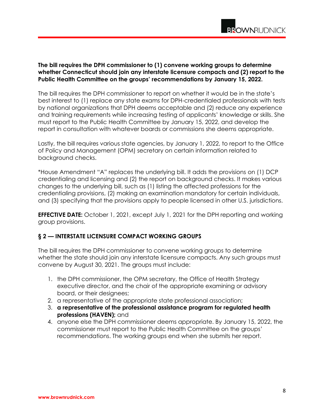

#### **The bill requires the DPH commissioner to (1) convene working groups to determine whether Connecticut should join any interstate licensure compacts and (2) report to the Public Health Committee on the groups' recommendations by January 15, 2022.**

The bill requires the DPH commissioner to report on whether it would be in the state's best interest to (1) replace any state exams for DPH-credentialed professionals with tests by national organizations that DPH deems acceptable and (2) reduce any experience and training requirements while increasing testing of applicants' knowledge or skills. She must report to the Public Health Committee by January 15, 2022, and develop the report in consultation with whatever boards or commissions she deems appropriate.

Lastly, the bill requires various state agencies, by January 1, 2022, to report to the Office of Policy and Management (OPM) secretary on certain information related to background checks.

\*House Amendment "A" replaces the underlying bill. It adds the provisions on (1) DCP credentialing and licensing and (2) the report on background checks. It makes various changes to the underlying bill, such as (1) listing the affected professions for the credentialing provisions, (2) making an examination mandatory for certain individuals, and (3) specifying that the provisions apply to people licensed in other U.S. jurisdictions.

**EFFECTIVE DATE:** October 1, 2021, except July 1, 2021 for the DPH reporting and working group provisions.

#### **§ 2 — INTERSTATE LICENSURE COMPACT WORKING GROUPS**

The bill requires the DPH commissioner to convene working groups to determine whether the state should join any interstate licensure compacts. Any such groups must convene by August 30, 2021. The groups must include:

- 1. the DPH commissioner, the OPM secretary, the Office of Health Strategy executive director, and the chair of the appropriate examining or advisory board, or their designees;
- 2. a representative of the appropriate state professional association;
- 3. **a representative of the professional assistance program for regulated health professions (HAVEN);** and
- 4. anyone else the DPH commissioner deems appropriate. By January 15, 2022, the commissioner must report to the Public Health Committee on the groups' recommendations. The working groups end when she submits her report.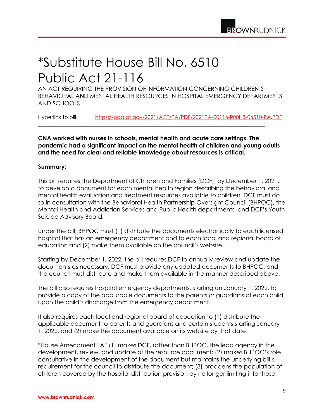### \*Substitute House Bill No. 6510 Public Act 21-116

AN ACT REQUIRING THE PROVISION OF INFORMATION CONCERNING CHILDREN'S BEHAVIORAL AND MENTAL HEALTH RESOURCES IN HOSPITAL EMERGENCY DEPARTMENTS AND SCHOOLS

Hyperlink to bill: <https://cga.ct.gov/2021/ACT/PA/PDF/2021PA-00116-R00HB-06510-PA.PDF>

\_\_\_\_\_\_\_\_\_\_\_\_\_\_\_\_\_\_\_\_\_\_\_\_\_\_\_\_\_\_\_\_\_\_\_\_\_\_\_\_\_\_\_\_\_\_\_\_\_\_\_\_\_\_\_\_\_\_\_\_\_\_\_\_\_\_\_\_\_\_\_\_\_\_\_\_\_\_

**CNA worked with nurses in schools, mental health and acute care settings. The pandemic had a significant impact on the mental health of children and young adults and the need for clear and reliable knowledge about resources is critical.**

#### **Summary:**

This bill requires the Department of Children and Families (DCF), by December 1, 2021, to develop a document for each mental health region describing the behavioral and mental health evaluation and treatment resources available to children. DCF must do so in consultation with the Behavioral Health Partnership Oversight Council (BHPOC), the Mental Health and Addiction Services and Public Health departments, and DCF's Youth Suicide Advisory Board.

Under the bill, BHPOC must (1) distribute the documents electronically to each licensed hospital that has an emergency department and to each local and regional board of education and (2) make them available on the council's website.

Starting by December 1, 2022, the bill requires DCF to annually review and update the documents as necessary. DCF must provide any updated documents to BHPOC, and the council must distribute and make them available in the manner described above.

The bill also requires hospital emergency departments, starting on January 1, 2022, to provide a copy of the applicable documents to the parents or guardians of each child upon the child's discharge from the emergency department.

It also requires each local and regional board of education to (1) distribute the applicable document to parents and guardians and certain students starting January 1, 2022, and (2) make the document available on its website by that date.

\*House Amendment "A" (1) makes DCF, rather than BHPOC, the lead agency in the development, review, and update of the resource document; (2) makes BHPOC's role consultative in the development of the document but maintains the underlying bill's requirement for the council to distribute the document; (3) broadens the population of children covered by the hospital distribution provision by no longer limiting it to those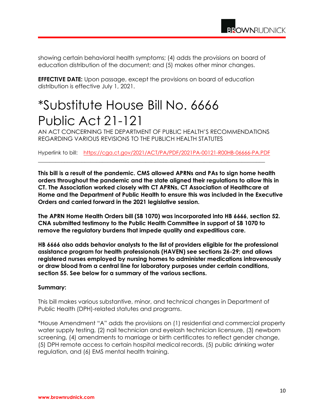showing certain behavioral health symptoms; (4) adds the provisions on board of education distribution of the document; and (5) makes other minor changes.

**EFFECTIVE DATE:** Upon passage, except the provisions on board of education distribution is effective July 1, 2021.

### \*Substitute House Bill No. 6666 Public Act 21-121

AN ACT CONCERNING THE DEPARTMENT OF PUBLIC HEALTH'S RECOMMENDATIONS REGARDING VARIOUS REVISIONS TO THE PUBLICH HEALTH STATUTES

Hyperlink to bill: <https://cga.ct.gov/2021/ACT/PA/PDF/2021PA-00121-R00HB-06666-PA.PDF> \_\_\_\_\_\_\_\_\_\_\_\_\_\_\_\_\_\_\_\_\_\_\_\_\_\_\_\_\_\_\_\_\_\_\_\_\_\_\_\_\_\_\_\_\_\_\_\_\_\_\_\_\_\_\_\_\_\_\_\_\_\_\_\_\_\_\_\_\_\_\_\_\_\_\_\_\_\_

**This bill is a result of the pandemic. CMS allowed APRNs and PAs to sign home health orders throughout the pandemic and the state aligned their regulations to allow this in CT. The Association worked closely with CT APRNs, CT Association of Healthcare at Home and the Department of Public Health to ensure this was included in the Executive Orders and carried forward in the 2021 legislative session.**

**The APRN Home Health Orders bill (SB 1070) was incorporated into HB 6666, section 52. CNA submitted testimony to the Public Health Committee in support of SB 1070 to remove the regulatory burdens that impede quality and expeditious care.** 

**HB 6666 also adds behavior analysts to the list of providers eligible for the professional assistance program for health professionals (HAVEN) see sections 26-29; and allows registered nurses employed by nursing homes to administer medications intravenously or draw blood from a central line for laboratory purposes under certain conditions, section 55. See below for a summary of the various sections.**

#### **Summary:**

This bill makes various substantive, minor, and technical changes in Department of Public Health (DPH)-related statutes and programs.

\*House Amendment "A" adds the provisions on (1) residential and commercial property water supply testing, (2) nail technician and eyelash technician licensure, (3) newborn screening, (4) amendments to marriage or birth certificates to reflect gender change, (5) DPH remote access to certain hospital medical records, (5) public drinking water regulation, and (6) EMS mental health training.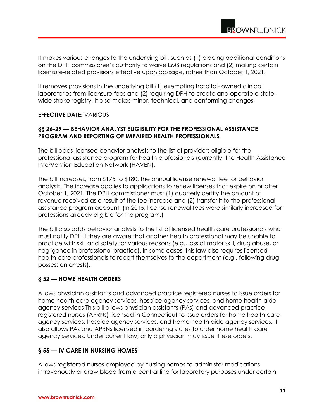It makes various changes to the underlying bill, such as (1) placing additional conditions on the DPH commissioner's authority to waive EMS regulations and (2) making certain licensure-related provisions effective upon passage, rather than October 1, 2021.

It removes provisions in the underlying bill (1) exempting hospital- owned clinical laboratories from licensure fees and (2) requiring DPH to create and operate a statewide stroke registry. It also makes minor, technical, and conforming changes.

#### **EFFECTIVE DATE:** VARIOUS

#### **§§ 26-29 — BEHAVIOR ANALYST ELIGIBILITY FOR THE PROFESSIONAL ASSISTANCE PROGRAM AND REPORTING OF IMPAIRED HEALTH PROFESSIONALS**

The bill adds licensed behavior analysts to the list of providers eligible for the professional assistance program for health professionals (currently, the Health Assistance InterVention Education Network (HAVEN).

The bill increases, from \$175 to \$180, the annual license renewal fee for behavior analysts. The increase applies to applications to renew licenses that expire on or after October 1, 2021. The DPH commissioner must (1) quarterly certify the amount of revenue received as a result of the fee increase and (2) transfer it to the professional assistance program account. (In 2015, license renewal fees were similarly increased for professions already eligible for the program.)

The bill also adds behavior analysts to the list of licensed health care professionals who must notify DPH if they are aware that another health professional may be unable to practice with skill and safety for various reasons (e.g., loss of motor skill, drug abuse, or negligence in professional practice). In some cases, this law also requires licensed health care professionals to report themselves to the department (e.g., following drug possession arrests).

#### **§ 52 — HOME HEALTH ORDERS**

Allows physician assistants and advanced practice registered nurses to issue orders for home health care agency services, hospice agency services, and home health aide agency services This bill allows physician assistants (PAs) and advanced practice registered nurses (APRNs) licensed in Connecticut to issue orders for home health care agency services, hospice agency services, and home health aide agency services. It also allows PAs and APRNs licensed in bordering states to order home health care agency services. Under current law, only a physician may issue these orders.

#### **§ 55 — IV CARE IN NURSING HOMES**

Allows registered nurses employed by nursing homes to administer medications intravenously or draw blood from a central line for laboratory purposes under certain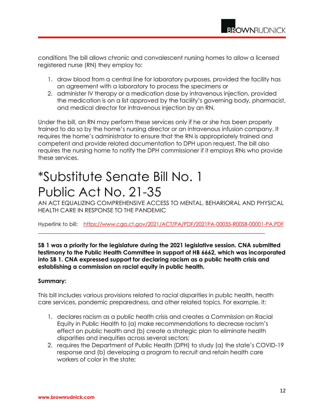conditions The bill allows chronic and convalescent nursing homes to allow a licensed registered nurse (RN) they employ to:

- 1. draw blood from a central line for laboratory purposes, provided the facility has an agreement with a laboratory to process the specimens or
- 2. administer IV therapy or a medication dose by intravenous injection, provided the medication is on a list approved by the facility's governing body, pharmacist, and medical director for intravenous injection by an RN.

Under the bill, an RN may perform these services only if he or she has been properly trained to do so by the home's nursing director or an intravenous infusion company. It requires the home's administrator to ensure that the RN is appropriately trained and competent and provide related documentation to DPH upon request. The bill also requires the nursing home to notify the DPH commissioner if it employs RNs who provide these services.

### \*Substitute Senate Bill No. 1 Public Act No. 21-35

AN ACT EQUALIZING COMPREHENSIVE ACCESS TO MENTAL, BEHARIORAL AND PHYSICAL HEALTH CARE IN RESPONSE TO THE PANDEMIC

Hyperlink to bill: <https://www.cga.ct.gov/2021/ACT/PA/PDF/2021PA-00035-R00SB-00001-PA.PDF>

\_\_\_\_\_\_\_\_\_\_\_\_\_\_\_\_\_\_\_\_\_\_\_\_\_\_\_\_\_\_\_\_\_\_\_\_\_\_\_\_\_\_\_\_\_\_\_\_\_\_\_\_\_\_\_\_\_\_\_\_\_\_\_\_\_\_\_\_\_\_\_\_\_\_\_\_\_\_

**SB 1 was a priority for the legislature during the 2021 legislative session. CNA submitted testimony to the Public Health Committee in support of HB 6662, which was incorporated into SB 1. CNA expressed support for declaring racism as a public health crisis and establishing a commission on racial equity in public health.** 

#### **Summary:**

This bill includes various provisions related to racial disparities in public health, health care services, pandemic preparedness, and other related topics. For example, it:

- 1. declares racism as a public health crisis and creates a Commission on Racial Equity in Public Health to (a) make recommendations to decrease racism's effect on public health and (b) create a strategic plan to eliminate health disparities and inequities across several sectors;
- 2. requires the Department of Public Health (DPH) to study (a) the state's COVID-19 response and (b) developing a program to recruit and retain health care workers of color in the state;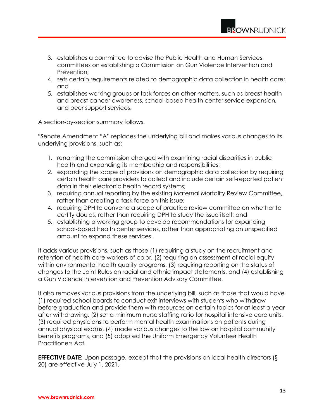- 3. establishes a committee to advise the Public Health and Human Services committees on establishing a Commission on Gun Violence Intervention and Prevention;
- 4. sets certain requirements related to demographic data collection in health care; and
- 5. establishes working groups or task forces on other matters, such as breast health and breast cancer awareness, school-based health center service expansion, and peer support services.

A section-by-section summary follows.

\*Senate Amendment "A" replaces the underlying bill and makes various changes to its underlying provisions, such as:

- 1. renaming the commission charged with examining racial disparities in public health and expanding its membership and responsibilities;
- 2. expanding the scope of provisions on demographic data collection by requiring certain health care providers to collect and include certain self-reported patient data in their electronic health record systems;
- 3. requiring annual reporting by the existing Maternal Mortality Review Committee, rather than creating a task force on this issue;
- 4. requiring DPH to convene a scope of practice review committee on whether to certify doulas, rather than requiring DPH to study the issue itself; and
- 5. establishing a working group to develop recommendations for expanding school-based health center services, rather than appropriating an unspecified amount to expand these services.

It adds various provisions, such as those (1) requiring a study on the recruitment and retention of health care workers of color, (2) requiring an assessment of racial equity within environmental health quality programs, (3) requiring reporting on the status of changes to the Joint Rules on racial and ethnic impact statements, and (4) establishing a Gun Violence Intervention and Prevention Advisory Committee.

It also removes various provisions from the underlying bill, such as those that would have (1) required school boards to conduct exit interviews with students who withdraw before graduation and provide them with resources on certain topics for at least a year after withdrawing, (2) set a minimum nurse staffing ratio for hospital intensive care units, (3) required physicians to perform mental health examinations on patients during annual physical exams, (4) made various changes to the law on hospital community benefits programs, and (5) adopted the Uniform Emergency Volunteer Health Practitioners Act.

**EFFECTIVE DATE:** Upon passage, except that the provisions on local health directors (§ 20) are effective July 1, 2021.

**BROWNRUDNICK**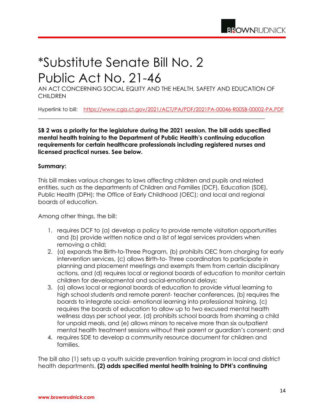### \*Substitute Senate Bill No. 2 Public Act No. 21-46

AN ACT CONCERNING SOCIAL EQUITY AND THE HEALTH, SAFETY AND EDUCATION OF **CHILDREN** 

Hyperlink to bill: <https://www.cga.ct.gov/2021/ACT/PA/PDF/2021PA-00046-R00SB-00002-PA.PDF>

**SB 2 was a priority for the legislature during the 2021 session. The bill adds specified mental health training to the Department of Public Health's continuing education requirements for certain healthcare professionals including registered nurses and licensed practical nurses. See below.**

\_\_\_\_\_\_\_\_\_\_\_\_\_\_\_\_\_\_\_\_\_\_\_\_\_\_\_\_\_\_\_\_\_\_\_\_\_\_\_\_\_\_\_\_\_\_\_\_\_\_\_\_\_\_\_\_\_\_\_\_\_\_\_\_\_\_\_\_\_\_\_\_\_\_\_\_\_\_

#### **Summary:**

This bill makes various changes to laws affecting children and pupils and related entities, such as the departments of Children and Families (DCF), Education (SDE), Public Health (DPH); the Office of Early Childhood (OEC); and local and regional boards of education.

Among other things, the bill:

- 1. requires DCF to (a) develop a policy to provide remote visitation opportunities and (b) provide written notice and a list of legal services providers when removing a child;
- 2. (a) expands the Birth-to-Three Program, (b) prohibits OEC from charging for early intervention services, (c) allows Birth-to- Three coordinators to participate in planning and placement meetings and exempts them from certain disciplinary actions, and (d) requires local or regional boards of education to monitor certain children for developmental and social-emotional delays;
- 3. (a) allows local or regional boards of education to provide virtual learning to high school students and remote parent- teacher conferences, (b) requires the boards to integrate social- emotional learning into professional training, (c) requires the boards of education to allow up to two excused mental health wellness days per school year, (d) prohibits school boards from shaming a child for unpaid meals, and (e) allows minors to receive more than six outpatient mental health treatment sessions without their parent or guardian's consent; and
- 4. requires SDE to develop a community resource document for children and families.

The bill also (1) sets up a youth suicide prevention training program in local and district health departments, **(2) adds specified mental health training to DPH's continuing**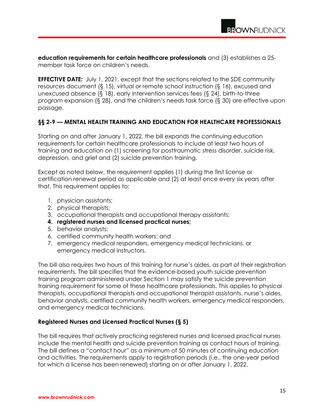**education requirements for certain healthcare professionals** and (3) establishes a 25member task force on children's needs.

**EFFECTIVE DATE:** July 1, 2021, except that the sections related to the SDE community resources document (§ 15), virtual or remote school instruction (§ 16), excused and unexcused absence (§ 18), early intervention services fees (§ 24), birth-to-three program expansion (§ 28), and the children's needs task force (§ 30) are effective upon passage.

#### **§§ 2-9 — MENTAL HEALTH TRAINING AND EDUCATION FOR HEALTHCARE PROFESSIONALS**

Starting on and after January 1, 2022, the bill expands the continuing education requirements for certain healthcare professionals to include at least two hours of training and education on (1) screening for posttraumatic stress disorder, suicide risk, depression, and grief and (2) suicide prevention training.

Except as noted below, the requirement applies (1) during the first license or certification renewal period as applicable and (2) at least once every six years after that. This requirement applies to:

- 1. physician assistants;
- 2. physical therapists;
- 3. occupational therapists and occupational therapy assistants;
- **4. registered nurses and licensed practical nurses;**
- 5. behavior analysts;
- 6. certified community health workers; and
- 7. emergency medical responders, emergency medical technicians, or emergency medical instructors.

The bill also requires two hours of this training for nurse's aides, as part of their registration requirements. The bill specifies that the evidence-based youth suicide prevention training program administered under Section 1 may satisfy the suicide prevention training requirement for some of these healthcare professionals. This applies to physical therapists, occupational therapists and occupational therapist assistants, nurse's aides, behavior analysts, certified community health workers, emergency medical responders, and emergency medical technicians.

#### **Registered Nurses and Licensed Practical Nurses (§ 5)**

The bill requires that actively practicing registered nurses and licensed practical nurses include the mental health and suicide prevention training as contact hours of training. The bill defines a "contact hour" as a minimum of 50 minutes of continuing education and activities. The requirements apply to registration periods (i.e., the one-year period for which a license has been renewed) starting on or after January 1, 2022.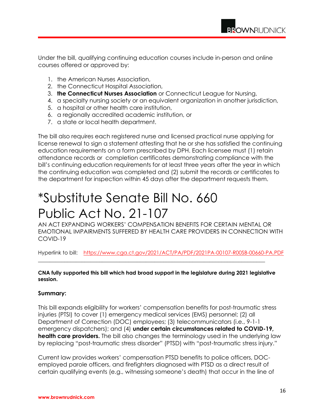Under the bill, qualifying continuing education courses include in-person and online courses offered or approved by:

- 1. the American Nurses Association,
- 2. the Connecticut Hospital Association,
- 3. **the Connecticut Nurses Association** or Connecticut League for Nursing,
- 4. a specialty nursing society or an equivalent organization in another jurisdiction,
- 5. a hospital or other health care institution,
- 6. a regionally accredited academic institution, or
- 7. a state or local health department.

The bill also requires each registered nurse and licensed practical nurse applying for license renewal to sign a statement attesting that he or she has satisfied the continuing education requirements on a form prescribed by DPH. Each licensee must (1) retain attendance records or completion certificates demonstrating compliance with the bill's continuing education requirements for at least three years after the year in which the continuing education was completed and (2) submit the records or certificates to the department for inspection within 45 days after the department requests them.

### \*Substitute Senate Bill No. 660 Public Act No. 21-107

AN ACT EXPANDING WORKERS' COMPENSATION BENEFITS FOR CERTAIN MENTAL OR EMOTIONAL IMPAIRMENTS SUFFERED BY HEALTH CARE PROVIDERS IN CONNECTION WITH COVID-19

Hyperlink to bill: <https://www.cga.ct.gov/2021/ACT/PA/PDF/2021PA-00107-R00SB-00660-PA.PDF>

#### **CNA fully supported this bill which had broad support in the legislature during 2021 legislative session.**

\_\_\_\_\_\_\_\_\_\_\_\_\_\_\_\_\_\_\_\_\_\_\_\_\_\_\_\_\_\_\_\_\_\_\_\_\_\_\_\_\_\_\_\_\_\_\_\_\_\_\_\_\_\_\_\_\_\_\_\_\_\_\_\_\_\_\_\_\_\_\_\_\_\_\_\_\_\_

#### **Summary:**

This bill expands eligibility for workers' compensation benefits for post-traumatic stress injuries (PTSI) to cover (1) emergency medical services (EMS) personnel; (2) all Department of Correction (DOC) employees; (3) telecommunicators (i.e., 9-1-1 emergency dispatchers); and (4) **under certain circumstances related to COVID-19, health care providers.** The bill also changes the terminology used in the underlying law by replacing "post-traumatic stress disorder" (PTSD) with "post-traumatic stress injury."

Current law provides workers' compensation PTSD benefits to police officers, DOCemployed parole officers, and firefighters diagnosed with PTSD as a direct result of certain qualifying events (e.g., witnessing someone's death) that occur in the line of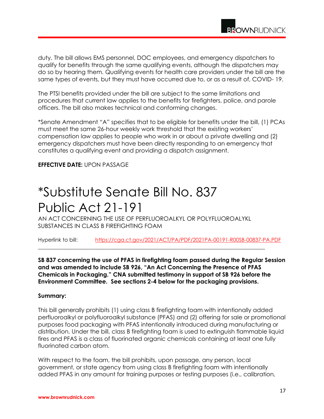

duty. The bill allows EMS personnel, DOC employees, and emergency dispatchers to qualify for benefits through the same qualifying events, although the dispatchers may do so by hearing them. Qualifying events for health care providers under the bill are the same types of events, but they must have occurred due to, or as a result of, COVID- 19.

The PTSI benefits provided under the bill are subject to the same limitations and procedures that current law applies to the benefits for firefighters, police, and parole officers. The bill also makes technical and conforming changes.

\*Senate Amendment "A" specifies that to be eligible for benefits under the bill, (1) PCAs must meet the same 26-hour weekly work threshold that the existing workers' compensation law applies to people who work in or about a private dwelling and (2) emergency dispatchers must have been directly responding to an emergency that constitutes a qualifying event and providing a dispatch assignment.

#### **EFFECTIVE DATE:** UPON PASSAGE

### \*Substitute Senate Bill No. 837 Public Act 21-191

AN ACT CONCERNING THE USE OF PERFLUOROALKYL OR POLYFLUOROALYKL SUBSTANCES IN CLASS B FIREFIGHTING FOAM

Hyperlink to bill: <https://cga.ct.gov/2021/ACT/PA/PDF/2021PA-00191-R00SB-00837-PA.PDF>

\_\_\_\_\_\_\_\_\_\_\_\_\_\_\_\_\_\_\_\_\_\_\_\_\_\_\_\_\_\_\_\_\_\_\_\_\_\_\_\_\_\_\_\_\_\_\_\_\_\_\_\_\_\_\_\_\_\_\_\_\_\_\_\_\_\_\_\_\_\_\_\_\_\_\_\_\_\_

**SB 837 concerning the use of PFAS in firefighting foam passed during the Regular Session and was amended to include SB 926, "An Act Concerning the Presence of PFAS Chemicals in Packaging." CNA submitted testimony in support of SB 926 before the Environment Committee. See sections 2-4 below for the packaging provisions.**

#### **Summary:**

This bill generally prohibits (1) using class B firefighting foam with intentionally added perfluoroalkyl or polyfluoroalkyl substance (PFAS) and (2) offering for sale or promotional purposes food packaging with PFAS intentionally introduced during manufacturing or distribution. Under the bill, class B firefighting foam is used to extinguish flammable liquid fires and PFAS is a class of fluorinated organic chemicals containing at least one fully fluorinated carbon atom.

With respect to the foam, the bill prohibits, upon passage, any person, local government, or state agency from using class B firefighting foam with intentionally added PFAS in any amount for training purposes or testing purposes (i.e., calibration,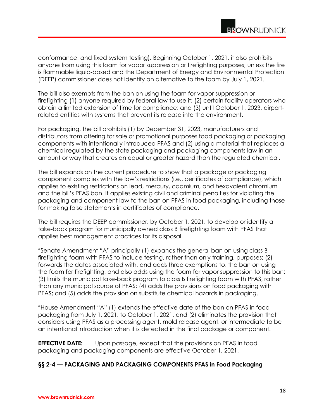

conformance, and fixed system testing). Beginning October 1, 2021, it also prohibits anyone from using this foam for vapor suppression or firefighting purposes, unless the fire is flammable liquid-based and the Department of Energy and Environmental Protection (DEEP) commissioner does not identify an alternative to the foam by July 1, 2021.

The bill also exempts from the ban on using the foam for vapor suppression or firefighting (1) anyone required by federal law to use it; (2) certain facility operators who obtain a limited extension of time for compliance; and (3) until October 1, 2023, airportrelated entities with systems that prevent its release into the environment.

For packaging, the bill prohibits (1) by December 31, 2023, manufacturers and distributors from offering for sale or promotional purposes food packaging or packaging components with intentionally introduced PFAS and (2) using a material that replaces a chemical regulated by the state packaging and packaging components law in an amount or way that creates an equal or greater hazard than the regulated chemical.

The bill expands on the current procedure to show that a package or packaging component complies with the law's restrictions (i.e., certificates of compliance), which applies to existing restrictions on lead, mercury, cadmium, and hexavalent chromium and the bill's PFAS ban. It applies existing civil and criminal penalties for violating the packaging and component law to the ban on PFAS in food packaging, including those for making false statements in certificates of compliance.

The bill requires the DEEP commissioner, by October 1, 2021, to develop or identify a take-back program for municipally owned class B firefighting foam with PFAS that applies best management practices for its disposal.

\*Senate Amendment "A" principally (1) expands the general ban on using class B firefighting foam with PFAS to include testing, rather than only training, purposes; (2) forwards the dates associated with, and adds three exemptions to, the ban on using the foam for firefighting, and also adds using the foam for vapor suppression to this ban; (3) limits the municipal take-back program to class B firefighting foam with PFAS, rather than any municipal source of PFAS; (4) adds the provisions on food packaging with PFAS; and (5) adds the provision on substitute chemical hazards in packaging.

\*House Amendment "A" (1) extends the effective date of the ban on PFAS in food packaging from July 1, 2021, to October 1, 2021, and (2) eliminates the provision that considers using PFAS as a processing agent, mold release agent, or intermediate to be an intentional introduction when it is detected in the final package or component.

**EFFECTIVE DATE:** Upon passage, except that the provisions on PFAS in food packaging and packaging components are effective October 1, 2021.

#### **§§ 2-4 — PACKAGING AND PACKAGING COMPONENTS PFAS in Food Packaging**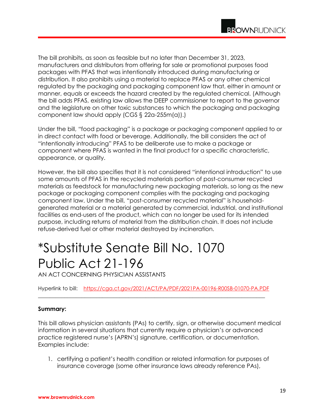

The bill prohibits, as soon as feasible but no later than December 31, 2023, manufacturers and distributors from offering for sale or promotional purposes food packages with PFAS that was intentionally introduced during manufacturing or distribution. It also prohibits using a material to replace PFAS or any other chemical regulated by the packaging and packaging component law that, either in amount or manner, equals or exceeds the hazard created by the regulated chemical. (Although the bill adds PFAS, existing law allows the DEEP commissioner to report to the governor and the legislature on other toxic substances to which the packaging and packaging component law should apply (CGS § 22a-255m(a)).)

Under the bill, "food packaging" is a package or packaging component applied to or in direct contact with food or beverage. Additionally, the bill considers the act of "intentionally introducing" PFAS to be deliberate use to make a package or component where PFAS is wanted in the final product for a specific characteristic, appearance, or quality.

However, the bill also specifies that it is not considered "intentional introduction" to use some amounts of PFAS in the recycled materials portion of post-consumer recycled materials as feedstock for manufacturing new packaging materials, so long as the new package or packaging component complies with the packaging and packaging component law. Under the bill, "post-consumer recycled material" is householdgenerated material or a material generated by commercial, industrial, and institutional facilities as end-users of the product, which can no longer be used for its intended purpose, including returns of material from the distribution chain. It does not include refuse-derived fuel or other material destroyed by incineration.

### \*Substitute Senate Bill No. 1070 Public Act 21-196

AN ACT CONCERNING PHYSICIAN ASSISTANTS

Hyperlink to bill: <https://cga.ct.gov/2021/ACT/PA/PDF/2021PA-00196-R00SB-01070-PA.PDF> \_\_\_\_\_\_\_\_\_\_\_\_\_\_\_\_\_\_\_\_\_\_\_\_\_\_\_\_\_\_\_\_\_\_\_\_\_\_\_\_\_\_\_\_\_\_\_\_\_\_\_\_\_\_\_\_\_\_\_\_\_\_\_\_\_\_\_\_\_\_\_\_\_\_\_\_\_\_

#### **Summary:**

This bill allows physician assistants (PAs) to certify, sign, or otherwise document medical information in several situations that currently require a physician's or advanced practice registered nurse's (APRN's) signature, certification, or documentation. Examples include:

1. certifying a patient's health condition or related information for purposes of insurance coverage (some other insurance laws already reference PAs),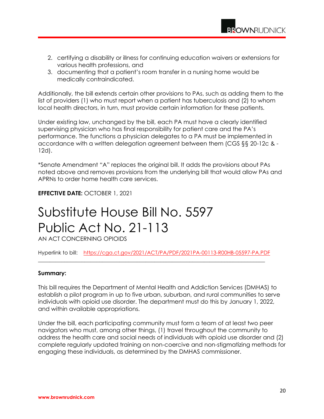- 2. certifying a disability or illness for continuing education waivers or extensions for various health professions, and
- 3. documenting that a patient's room transfer in a nursing home would be medically contraindicated.

Additionally, the bill extends certain other provisions to PAs, such as adding them to the list of providers (1) who must report when a patient has tuberculosis and (2) to whom local health directors, in turn, must provide certain information for these patients.

Under existing law, unchanged by the bill, each PA must have a clearly identified supervising physician who has final responsibility for patient care and the PA's performance. The functions a physician delegates to a PA must be implemented in accordance with a written delegation agreement between them (CGS §§ 20-12c & - 12d).

\*Senate Amendment "A" replaces the original bill. It adds the provisions about PAs noted above and removes provisions from the underlying bill that would allow PAs and APRNs to order home health care services.

**EFFECTIVE DATE:** OCTOBER 1, 2021

### Substitute House Bill No. 5597 Public Act No. 21-113

AN ACT CONCERNING OPIOIDS

Hyperlink to bill: <https://cga.ct.gov/2021/ACT/PA/PDF/2021PA-00113-R00HB-05597-PA.PDF> \_\_\_\_\_\_\_\_\_\_\_\_\_\_\_\_\_\_\_\_\_\_\_\_\_\_\_\_\_\_\_\_\_\_\_\_\_\_\_\_\_\_\_\_\_\_\_\_\_\_\_\_\_\_\_\_\_\_\_\_\_\_\_\_\_\_\_\_\_\_\_\_\_\_\_\_\_\_

#### **Summary:**

This bill requires the Department of Mental Health and Addiction Services (DMHAS) to establish a pilot program in up to five urban, suburban, and rural communities to serve individuals with opioid use disorder. The department must do this by January 1, 2022, and within available appropriations.

Under the bill, each participating community must form a team of at least two peer navigators who must, among other things, (1) travel throughout the community to address the health care and social needs of individuals with opioid use disorder and (2) complete regularly updated training on non-coercive and non-stigmatizing methods for engaging these individuals, as determined by the DMHAS commissioner.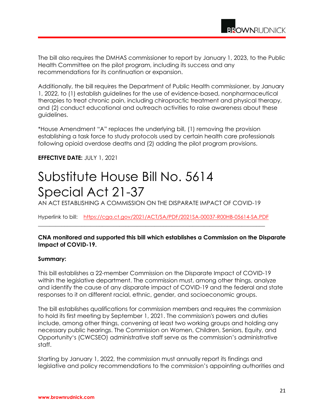

The bill also requires the DMHAS commissioner to report by January 1, 2023, to the Public Health Committee on the pilot program, including its success and any recommendations for its continuation or expansion.

Additionally, the bill requires the Department of Public Health commissioner, by January 1, 2022, to (1) establish guidelines for the use of evidence-based, nonpharmaceutical therapies to treat chronic pain, including chiropractic treatment and physical therapy, and (2) conduct educational and outreach activities to raise awareness about these guidelines.

\*House Amendment "A" replaces the underlying bill, (1) removing the provision establishing a task force to study protocols used by certain health care professionals following opioid overdose deaths and (2) adding the pilot program provisions.

**EFFECTIVE DATE:** JULY 1, 2021

### Substitute House Bill No. 5614 Special Act 21-37

AN ACT ESTABLISHING A COMMISSION ON THE DISPARATE IMPACT OF COVID-19

Hyperlink to bill: <https://cga.ct.gov/2021/ACT/SA/PDF/2021SA-00037-R00HB-05614-SA.PDF> \_\_\_\_\_\_\_\_\_\_\_\_\_\_\_\_\_\_\_\_\_\_\_\_\_\_\_\_\_\_\_\_\_\_\_\_\_\_\_\_\_\_\_\_\_\_\_\_\_\_\_\_\_\_\_\_\_\_\_\_\_\_\_\_\_\_\_\_\_\_\_\_\_\_\_\_\_\_

#### **CNA monitored and supported this bill which establishes a Commission on the Disparate Impact of COVID-19.**

#### **Summary:**

This bill establishes a 22-member Commission on the Disparate Impact of COVID-19 within the legislative department. The commission must, among other things, analyze and identify the cause of any disparate impact of COVID-19 and the federal and state responses to it on different racial, ethnic, gender, and socioeconomic groups.

The bill establishes qualifications for commission members and requires the commission to hold its first meeting by September 1, 2021. The commission's powers and duties include, among other things, convening at least two working groups and holding any necessary public hearings. The Commission on Women, Children, Seniors, Equity, and Opportunity's (CWCSEO) administrative staff serve as the commission's administrative staff.

Starting by January 1, 2022, the commission must annually report its findings and legislative and policy recommendations to the commission's appointing authorities and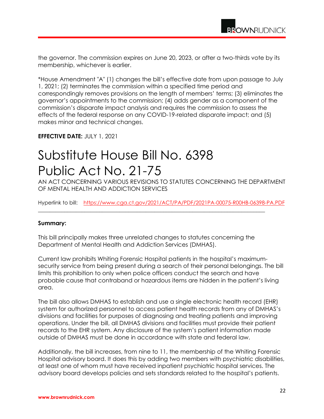the governor. The commission expires on June 20, 2023, or after a two-thirds vote by its membership, whichever is earlier.

\*House Amendment "A" (1) changes the bill's effective date from upon passage to July 1, 2021; (2) terminates the commission within a specified time period and correspondingly removes provisions on the length of members' terms; (3) eliminates the governor's appointments to the commission; (4) adds gender as a component of the commission's disparate impact analysis and requires the commission to assess the effects of the federal response on any COVID-19-related disparate impact; and (5) makes minor and technical changes.

**EFFECTIVE DATE:** JULY 1, 2021

### Substitute House Bill No. 6398 Public Act No. 21-75

AN ACT CONCERNING VARIOUS REVISIONS TO STATUTES CONCERNING THE DEPARTMENT OF MENTAL HEALTH AND ADDICTION SERVICES

Hyperlink to bill: <https://www.cga.ct.gov/2021/ACT/PA/PDF/2021PA-00075-R00HB-06398-PA.PDF>

#### **Summary:**

This bill principally makes three unrelated changes to statutes concerning the Department of Mental Health and Addiction Services (DMHAS).

\_\_\_\_\_\_\_\_\_\_\_\_\_\_\_\_\_\_\_\_\_\_\_\_\_\_\_\_\_\_\_\_\_\_\_\_\_\_\_\_\_\_\_\_\_\_\_\_\_\_\_\_\_\_\_\_\_\_\_\_\_\_\_\_\_\_\_\_\_\_\_\_\_\_\_\_\_\_

Current law prohibits Whiting Forensic Hospital patients in the hospital's maximumsecurity service from being present during a search of their personal belongings. The bill limits this prohibition to only when police officers conduct the search and have probable cause that contraband or hazardous items are hidden in the patient's living area.

The bill also allows DMHAS to establish and use a single electronic health record (EHR) system for authorized personnel to access patient health records from any of DMHAS's divisions and facilities for purposes of diagnosing and treating patients and improving operations. Under the bill, all DMHAS divisions and facilities must provide their patient records to the EHR system. Any disclosure of the system's patient information made outside of DMHAS must be done in accordance with state and federal law.

Additionally, the bill increases, from nine to 11, the membership of the Whiting Forensic Hospital advisory board. It does this by adding two members with psychiatric disabilities, at least one of whom must have received inpatient psychiatric hospital services. The advisory board develops policies and sets standards related to the hospital's patients.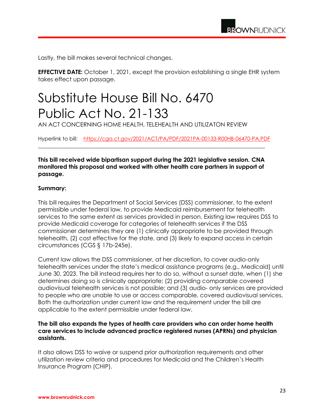Lastly, the bill makes several technical changes.

**EFFECTIVE DATE:** October 1, 2021, except the provision establishing a single EHR system takes effect upon passage.

## Substitute House Bill No. 6470 Public Act No. 21-133

AN ACT CONCERNING HOME HEALTH, TELEHEALTH AND UTILIZATON REVIEW

Hyperlink to bill: <https://cga.ct.gov/2021/ACT/PA/PDF/2021PA-00133-R00HB-06470-PA.PDF> \_\_\_\_\_\_\_\_\_\_\_\_\_\_\_\_\_\_\_\_\_\_\_\_\_\_\_\_\_\_\_\_\_\_\_\_\_\_\_\_\_\_\_\_\_\_\_\_\_\_\_\_\_\_\_\_\_\_\_\_\_\_\_\_\_\_\_\_\_\_\_\_\_\_\_\_\_\_

**This bill received wide bipartisan support during the 2021 legislative session. CNA monitored this proposal and worked with other health care partners in support of passage.** 

#### **Summary:**

This bill requires the Department of Social Services (DSS) commissioner, to the extent permissible under federal law, to provide Medicaid reimbursement for telehealth services to the same extent as services provided in person. Existing law requires DSS to provide Medicaid coverage for categories of telehealth services if the DSS commissioner determines they are (1) clinically appropriate to be provided through telehealth, (2) cost effective for the state, and (3) likely to expand access in certain circumstances (CGS § 17b-245e).

Current law allows the DSS commissioner, at her discretion, to cover audio-only telehealth services under the state's medical assistance programs (e.g., Medicaid) until June 30, 2023. The bill instead requires her to do so, without a sunset date, when (1) she determines doing so is clinically appropriate; (2) providing comparable covered audiovisual telehealth services is not possible; and (3) audio- only services are provided to people who are unable to use or access comparable, covered audiovisual services. Both the authorization under current law and the requirement under the bill are applicable to the extent permissible under federal law.

#### **The bill also expands the types of health care providers who can order home health care services to include advanced practice registered nurses (APRNs) and physician assistants.**

It also allows DSS to waive or suspend prior authorization requirements and other utilization review criteria and procedures for Medicaid and the Children's Health Insurance Program (CHIP).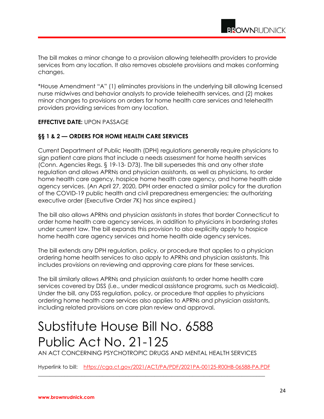The bill makes a minor change to a provision allowing telehealth providers to provide services from any location. It also removes obsolete provisions and makes conforming changes.

\*House Amendment "A" (1) eliminates provisions in the underlying bill allowing licensed nurse midwives and behavior analysts to provide telehealth services, and (2) makes minor changes to provisions on orders for home health care services and telehealth providers providing services from any location.

#### **EFFECTIVE DATE:** UPON PASSAGE

#### **§§ 1 & 2 — ORDERS FOR HOME HEALTH CARE SERVICES**

Current Department of Public Health (DPH) regulations generally require physicians to sign patient care plans that include a needs assessment for home health services (Conn. Agencies Regs. § 19-13- D73). The bill supersedes this and any other state regulation and allows APRNs and physician assistants, as well as physicians, to order home health care agency, hospice home health care agency, and home health aide agency services. (An April 27, 2020, DPH order enacted a similar policy for the duration of the COVID-19 public health and civil preparedness emergencies; the authorizing executive order (Executive Order 7K) has since expired.)

The bill also allows APRNs and physician assistants in states that border Connecticut to order home health care agency services, in addition to physicians in bordering states under current law. The bill expands this provision to also explicitly apply to hospice home health care agency services and home health aide agency services.

The bill extends any DPH regulation, policy, or procedure that applies to a physician ordering home health services to also apply to APRNs and physician assistants. This includes provisions on reviewing and approving care plans for these services.

The bill similarly allows APRNs and physician assistants to order home health care services covered by DSS (i.e., under medical assistance programs, such as Medicaid). Under the bill, any DSS regulation, policy, or procedure that applies to physicians ordering home health care services also applies to APRNs and physician assistants, including related provisions on care plan review and approval.

### Substitute House Bill No. 6588 Public Act No. 21-125

AN ACT CONCERNING PSYCHOTROPIC DRUGS AND MENTAL HEALTH SERVICES

Hyperlink to bill: <https://cga.ct.gov/2021/ACT/PA/PDF/2021PA-00125-R00HB-06588-PA.PDF> \_\_\_\_\_\_\_\_\_\_\_\_\_\_\_\_\_\_\_\_\_\_\_\_\_\_\_\_\_\_\_\_\_\_\_\_\_\_\_\_\_\_\_\_\_\_\_\_\_\_\_\_\_\_\_\_\_\_\_\_\_\_\_\_\_\_\_\_\_\_\_\_\_\_\_\_\_\_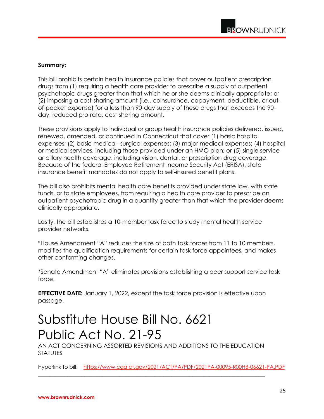#### **Summary:**

This bill prohibits certain health insurance policies that cover outpatient prescription drugs from (1) requiring a health care provider to prescribe a supply of outpatient psychotropic drugs greater than that which he or she deems clinically appropriate; or (2) imposing a cost-sharing amount (i.e., coinsurance, copayment, deductible, or outof-pocket expense) for a less than 90-day supply of these drugs that exceeds the 90 day, reduced pro-rata, cost-sharing amount.

These provisions apply to individual or group health insurance policies delivered, issued, renewed, amended, or continued in Connecticut that cover (1) basic hospital expenses; (2) basic medical- surgical expenses; (3) major medical expenses; (4) hospital or medical services, including those provided under an HMO plan; or (5) single service ancillary health coverage, including vision, dental, or prescription drug coverage. Because of the federal Employee Retirement Income Security Act (ERISA), state insurance benefit mandates do not apply to self-insured benefit plans.

The bill also prohibits mental health care benefits provided under state law, with state funds, or to state employees, from requiring a health care provider to prescribe an outpatient psychotropic drug in a quantity greater than that which the provider deems clinically appropriate.

Lastly, the bill establishes a 10-member task force to study mental health service provider networks.

\*House Amendment "A" reduces the size of both task forces from 11 to 10 members, modifies the qualification requirements for certain task force appointees, and makes other conforming changes.

\*Senate Amendment "A" eliminates provisions establishing a peer support service task force.

**EFFECTIVE DATE:** January 1, 2022, except the task force provision is effective upon passage.

### Substitute House Bill No. 6621 Public Act No. 21-95

AN ACT CONCERNING ASSORTED REVISIONS AND ADDITIONS TO THE EDUCATION **STATUTES** 

\_\_\_\_\_\_\_\_\_\_\_\_\_\_\_\_\_\_\_\_\_\_\_\_\_\_\_\_\_\_\_\_\_\_\_\_\_\_\_\_\_\_\_\_\_\_\_\_\_\_\_\_\_\_\_\_\_\_\_\_\_\_\_\_\_\_\_\_\_\_\_\_\_\_\_\_\_\_

Hyperlink to bill: <https://www.cga.ct.gov/2021/ACT/PA/PDF/2021PA-00095-R00HB-06621-PA.PDF>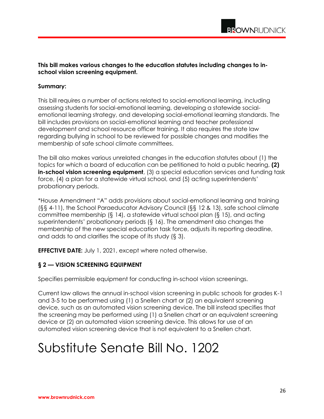#### **This bill makes various changes to the education statutes including changes to inschool vision screening equipment.**

#### **Summary:**

This bill requires a number of actions related to social-emotional learning, including assessing students for social-emotional learning, developing a statewide socialemotional learning strategy, and developing social-emotional learning standards. The bill includes provisions on social-emotional learning and teacher professional development and school resource officer training. It also requires the state law regarding bullying in school to be reviewed for possible changes and modifies the membership of safe school climate committees.

The bill also makes various unrelated changes in the education statutes about (1) the topics for which a board of education can be petitioned to hold a public hearing, **(2) in-school vision screening equipment**, (3) a special education services and funding task force, (4) a plan for a statewide virtual school, and (5) acting superintendents' probationary periods.

\*House Amendment "A" adds provisions about social-emotional learning and training (§§ 4-11), the School Paraeducator Advisory Council (§§ 12 & 13), safe school climate committee membership (§ 14), a statewide virtual school plan (§ 15), and acting superintendents' probationary periods (§ 16). The amendment also changes the membership of the new special education task force, adjusts its reporting deadline, and adds to and clarifies the scope of its study (§ 3).

**EFFECTIVE DATE:** July 1, 2021, except where noted otherwise.

#### **§ 2 — VISION SCREENING EQUIPMENT**

Specifies permissible equipment for conducting in-school vision screenings.

Current law allows the annual in-school vision screening in public schools for grades K-1 and 3-5 to be performed using (1) a Snellen chart or (2) an equivalent screening device, such as an automated vision screening device. The bill instead specifies that the screening may be performed using (1) a Snellen chart or an equivalent screening device or (2) an automated vision screening device. This allows for use of an automated vision screening device that is not equivalent to a Snellen chart.

### Substitute Senate Bill No. 1202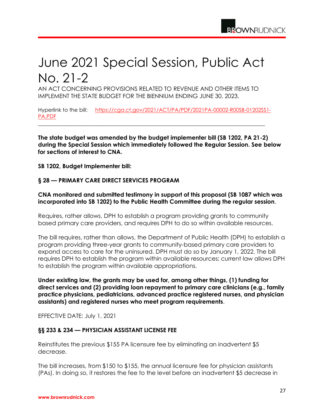### June 2021 Special Session, Public Act No. 21-2

AN ACT CONCERNING PROVISIONS RELATED TO REVENUE AND OTHER ITEMS TO IMPLEMENT THE STATE BUDGET FOR THE BIENNIUM ENDING JUNE 30, 2023.

Hyperlink to the bill: [https://cga.ct.gov/2021/ACT/PA/PDF/2021PA-00002-R00SB-01202SS1-](https://cga.ct.gov/2021/ACT/PA/PDF/2021PA-00002-R00SB-01202SS1-PA.PDF) [PA.PDF](https://cga.ct.gov/2021/ACT/PA/PDF/2021PA-00002-R00SB-01202SS1-PA.PDF)

\_\_\_\_\_\_\_\_\_\_\_\_\_\_\_\_\_\_\_\_\_\_\_\_\_\_\_\_\_\_\_\_\_\_\_\_\_\_\_\_\_\_\_\_\_\_\_\_\_\_\_\_\_\_\_\_\_\_\_\_\_\_\_\_\_\_\_\_\_\_\_\_\_\_\_\_\_\_

**The state budget was amended by the budget implementer bill (SB 1202, PA 21-2) during the Special Session which immediately followed the Regular Session. See below for sections of interest to CNA.**

**SB 1202, Budget Implementer bill:**

#### **§ 28 — PRIMARY CARE DIRECT SERVICES PROGRAM**

**CNA monitored and submitted testimony in support of this proposal (SB 1087 which was incorporated into SB 1202) to the Public Health Committee during the regular session**.

Requires, rather allows, DPH to establish a program providing grants to community based primary care providers, and requires DPH to do so within available resources.

The bill requires, rather than allows, the Department of Public Health (DPH) to establish a program providing three-year grants to community-based primary care providers to expand access to care for the uninsured. DPH must do so by January 1, 2022. The bill requires DPH to establish the program within available resources; current law allows DPH to establish the program within available appropriations.

**Under existing law, the grants may be used for, among other things, (1) funding for direct services and (2) providing loan repayment to primary care clinicians (e.g., family practice physicians, pediatricians, advanced practice registered nurses, and physician assistants) and registered nurses who meet program requirements**.

EFFECTIVE DATE: July 1, 2021

#### **§§ 233 & 234 — PHYSICIAN ASSISTANT LICENSE FEE**

Reinstitutes the previous \$155 PA licensure fee by eliminating an inadvertent \$5 decrease.

The bill increases, from \$150 to \$155, the annual licensure fee for physician assistants (PAs). In doing so, it restores the fee to the level before an inadvertent \$5 decrease in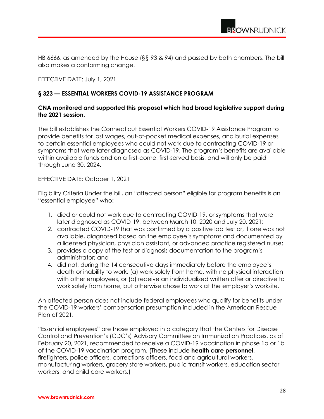HB 6666, as amended by the House (§§ 93 & 94) and passed by both chambers. The bill also makes a conforming change.

EFFECTIVE DATE: July 1, 2021

#### **§ 323 — ESSENTIAL WORKERS COVID-19 ASSISTANCE PROGRAM**

#### **CNA monitored and supported this proposal which had broad legislative support during the 2021 session.**

The bill establishes the Connecticut Essential Workers COVID-19 Assistance Program to provide benefits for lost wages, out-of-pocket medical expenses, and burial expenses to certain essential employees who could not work due to contracting COVID-19 or symptoms that were later diagnosed as COVID-19. The program's benefits are available within available funds and on a first-come, first-served basis, and will only be paid through June 30, 2024.

EFFECTIVE DATE: October 1, 2021

Eligibility Criteria Under the bill, an "affected person" eligible for program benefits is an "essential employee" who:

- 1. died or could not work due to contracting COVID-19, or symptoms that were later diagnosed as COVID-19, between March 10, 2020 and July 20, 2021;
- 2. contracted COVID-19 that was confirmed by a positive lab test or, if one was not available, diagnosed based on the employee's symptoms and documented by a licensed physician, physician assistant, or advanced practice registered nurse;
- 3. provides a copy of the test or diagnosis documentation to the program's administrator; and
- 4. did not, during the 14 consecutive days immediately before the employee's death or inability to work, (a) work solely from home, with no physical interaction with other employees, or (b) receive an individualized written offer or directive to work solely from home, but otherwise chose to work at the employer's worksite.

An affected person does not include federal employees who qualify for benefits under the COVID-19 workers' compensation presumption included in the American Rescue Plan of 2021.

"Essential employees" are those employed in a category that the Centers for Disease Control and Prevention's (CDC's) Advisory Committee on Immunization Practices, as of February 20, 2021, recommended to receive a COVID-19 vaccination in phase 1a or 1b of the COVID-19 vaccination program. (These include **health care personnel**, firefighters, police officers, corrections officers, food and agricultural workers, manufacturing workers, grocery store workers, public transit workers, education sector workers, and child care workers.)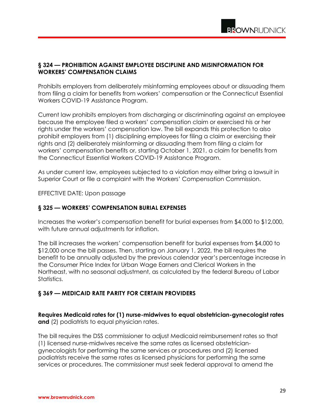#### **§ 324 — PROHIBITION AGAINST EMPLOYEE DISCIPLINE AND MISINFORMATION FOR WORKERS' COMPENSATION CLAIMS**

Prohibits employers from deliberately misinforming employees about or dissuading them from filing a claim for benefits from workers' compensation or the Connecticut Essential Workers COVID-19 Assistance Program.

Current law prohibits employers from discharging or discriminating against an employee because the employee filed a workers' compensation claim or exercised his or her rights under the workers' compensation law. The bill expands this protection to also prohibit employers from (1) disciplining employees for filing a claim or exercising their rights and (2) deliberately misinforming or dissuading them from filing a claim for workers' compensation benefits or, starting October 1, 2021, a claim for benefits from the Connecticut Essential Workers COVID-19 Assistance Program.

As under current law, employees subjected to a violation may either bring a lawsuit in Superior Court or file a complaint with the Workers' Compensation Commission.

EFFECTIVE DATE: Upon passage

#### **§ 325 — WORKERS' COMPENSATION BURIAL EXPENSES**

Increases the worker's compensation benefit for burial expenses from \$4,000 to \$12,000, with future annual adjustments for inflation.

The bill increases the workers' compensation benefit for burial expenses from \$4,000 to \$12,000 once the bill passes. Then, starting on January 1, 2022, the bill requires the benefit to be annually adjusted by the previous calendar year's percentage increase in the Consumer Price Index for Urban Wage Earners and Clerical Workers in the Northeast, with no seasonal adjustment, as calculated by the federal Bureau of Labor Statistics.

#### **§ 369 — MEDICAID RATE PARITY FOR CERTAIN PROVIDERS**

**Requires Medicaid rates for (1) nurse-midwives to equal obstetrician-gynecologist rates and** (2) podiatrists to equal physician rates.

The bill requires the DSS commissioner to adjust Medicaid reimbursement rates so that (1) licensed nurse-midwives receive the same rates as licensed obstetriciangynecologists for performing the same services or procedures and (2) licensed podiatrists receive the same rates as licensed physicians for performing the same services or procedures. The commissioner must seek federal approval to amend the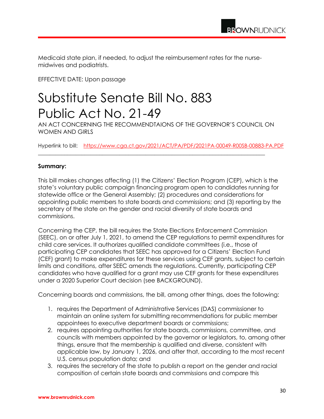Medicaid state plan, if needed, to adjust the reimbursement rates for the nursemidwives and podiatrists.

EFFECTIVE DATE: Upon passage

### Substitute Senate Bill No. 883 Public Act No. 21-49

AN ACT CONCERNING THE RECOMMENDTAIONS OF THE GOVERNOR'S COUNCIL ON WOMEN AND GIRLS

\_\_\_\_\_\_\_\_\_\_\_\_\_\_\_\_\_\_\_\_\_\_\_\_\_\_\_\_\_\_\_\_\_\_\_\_\_\_\_\_\_\_\_\_\_\_\_\_\_\_\_\_\_\_\_\_\_\_\_\_\_\_\_\_\_\_\_\_\_\_\_\_\_\_\_\_\_\_

Hyperlink to bill: <https://www.cga.ct.gov/2021/ACT/PA/PDF/2021PA-00049-R00SB-00883-PA.PDF>

#### **Summary:**

This bill makes changes affecting (1) the Citizens' Election Program (CEP), which is the state's voluntary public campaign financing program open to candidates running for statewide office or the General Assembly; (2) procedures and considerations for appointing public members to state boards and commissions; and (3) reporting by the secretary of the state on the gender and racial diversity of state boards and commissions.

Concerning the CEP, the bill requires the State Elections Enforcement Commission (SEEC), on or after July 1, 2021, to amend the CEP regulations to permit expenditures for child care services. It authorizes qualified candidate committees (i.e., those of participating CEP candidates that SEEC has approved for a Citizens' Election Fund (CEF) grant) to make expenditures for these services using CEF grants, subject to certain limits and conditions, after SEEC amends the regulations. Currently, participating CEP candidates who have qualified for a grant may use CEF grants for these expenditures under a 2020 Superior Court decision (see BACKGROUND).

Concerning boards and commissions, the bill, among other things, does the following:

- 1. requires the Department of Administrative Services (DAS) commissioner to maintain an online system for submitting recommendations for public member appointees to executive department boards or commissions;
- 2. requires appointing authorities for state boards, commissions, committee, and councils with members appointed by the governor or legislators, to, among other things, ensure that the membership is qualified and diverse, consistent with applicable law, by January 1, 2026, and after that, according to the most recent U.S. census population data; and
- 3. requires the secretary of the state to publish a report on the gender and racial composition of certain state boards and commissions and compare this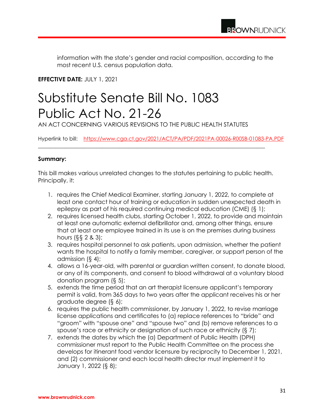information with the state's gender and racial composition, according to the most recent U.S. census population data.

#### **EFFECTIVE DATE:** JULY 1, 2021

## Substitute Senate Bill No. 1083 Public Act No. 21-26

AN ACT CONCERNING VARIOUS REVISIONS TO THE PUBLIC HEALTH STATUTES

\_\_\_\_\_\_\_\_\_\_\_\_\_\_\_\_\_\_\_\_\_\_\_\_\_\_\_\_\_\_\_\_\_\_\_\_\_\_\_\_\_\_\_\_\_\_\_\_\_\_\_\_\_\_\_\_\_\_\_\_\_\_\_\_\_\_\_\_\_\_\_\_\_\_\_\_\_\_

Hyperlink to bill: <https://www.cga.ct.gov/2021/ACT/PA/PDF/2021PA-00026-R00SB-01083-PA.PDF>

#### **Summary:**

This bill makes various unrelated changes to the statutes pertaining to public health. Principally, it:

- 1. requires the Chief Medical Examiner, starting January 1, 2022, to complete at least one contact hour of training or education in sudden unexpected death in epilepsy as part of his required continuing medical education (CME) (§ 1);
- 2. requires licensed health clubs, starting October 1, 2022, to provide and maintain at least one automatic external defibrillator and, among other things, ensure that at least one employee trained in its use is on the premises during business hours (§§ 2 & 3);
- 3. requires hospital personnel to ask patients, upon admission, whether the patient wants the hospital to notify a family member, caregiver, or support person of the admission (§ 4);
- 4. allows a 16-year-old, with parental or guardian written consent, to donate blood, or any of its components, and consent to blood withdrawal at a voluntary blood donation program (§ 5);
- 5. extends the time period that an art therapist licensure applicant's temporary permit is valid, from 365 days to two years after the applicant receives his or her graduate degree (§ 6);
- 6. requires the public health commissioner, by January 1, 2022, to revise marriage license applications and certificates to (a) replace references to "bride" and "groom" with "spouse one" and "spouse two" and (b) remove references to a spouse's race or ethnicity or designation of such race or ethnicity (§ 7);
- 7. extends the dates by which the (a) Department of Public Health (DPH) commissioner must report to the Public Health Committee on the process she develops for itinerant food vendor licensure by reciprocity to December 1, 2021, and (2) commissioner and each local health director must implement it to January 1, 2022 (§ 8);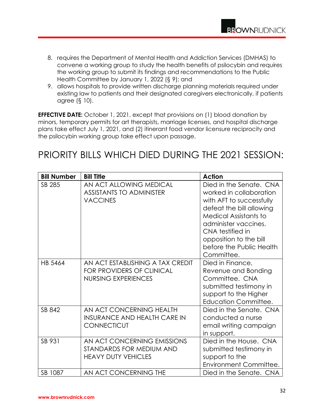- 8. requires the Department of Mental Health and Addiction Services (DMHAS) to convene a working group to study the health benefits of psilocybin and requires the working group to submit its findings and recommendations to the Public Health Committee by January 1, 2022 (§ 9); and
- 9. allows hospitals to provide written discharge planning materials required under existing law to patients and their designated caregivers electronically, if patients agree (§ 10).

**EFFECTIVE DATE:** October 1, 2021, except that provisions on (1) blood donation by minors, temporary permits for art therapists, marriage licenses, and hospital discharge plans take effect July 1, 2021, and (2) itinerant food vendor licensure reciprocity and the psilocybin working group take effect upon passage.

### PRIORITY BILLS WHICH DIED DURING THE 2021 SESSION:

| <b>Bill Number</b> | <b>Bill Title</b>                                                                           | <b>Action</b>                                                                                                                                                                                                                                              |
|--------------------|---------------------------------------------------------------------------------------------|------------------------------------------------------------------------------------------------------------------------------------------------------------------------------------------------------------------------------------------------------------|
| SB 285             | AN ACT ALLOWING MEDICAL<br><b>ASSISTANTS TO ADMINISTER</b><br><b>VACCINES</b>               | Died in the Senate. CNA<br>worked in collaboration<br>with AFT to successfully<br>defeat the bill allowing<br><b>Medical Assistants to</b><br>administer vaccines.<br>CNA testified in<br>opposition to the bill<br>before the Public Health<br>Committee. |
| HB 5464            | AN ACT ESTABLISHING A TAX CREDIT<br>FOR PROVIDERS OF CLINICAL<br><b>NURSING EXPERIENCES</b> | Died in Finance,<br>Revenue and Bonding<br>Committee. CNA<br>submitted testimony in<br>support to the Higher<br>Education Committee.                                                                                                                       |
| SB 842             | AN ACT CONCERNING HEALTH<br><b>INSURANCE AND HEALTH CARE IN</b><br><b>CONNECTICUT</b>       | Died in the Senate. CNA<br>conducted a nurse<br>email writing campaign<br>in support.                                                                                                                                                                      |
| SB 931             | AN ACT CONCERNING EMISSIONS<br>STANDARDS FOR MEDIUM AND<br><b>HEAVY DUTY VEHICLES</b>       | Died in the House. CNA<br>submitted testimony in<br>support to the<br>Environment Committee.                                                                                                                                                               |
| SB 1087            | AN ACT CONCERNING THE                                                                       | Died in the Senate. CNA                                                                                                                                                                                                                                    |